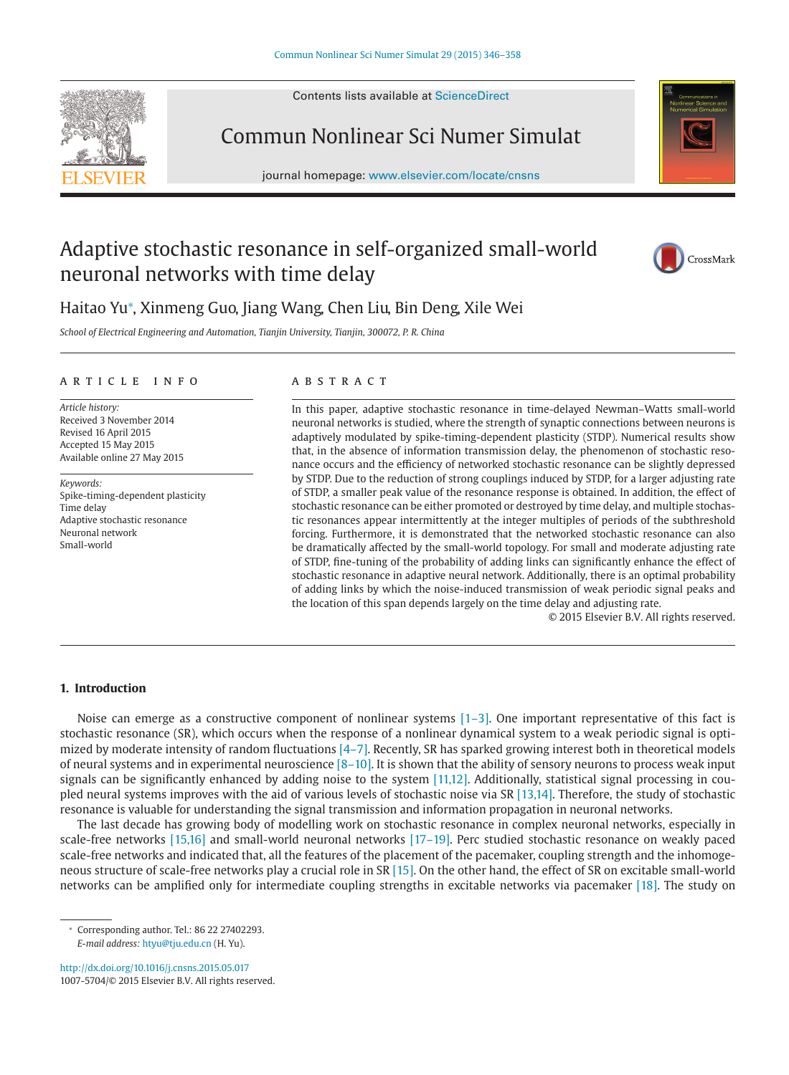Contents lists available at [ScienceDirect](http://www.ScienceDirect.com)



# Commun Nonlinear Sci Numer Simulat

journal homepage: [www.elsevier.com/locate/cnsns](http://www.elsevier.com/locate/cnsns)



## Adaptive stochastic resonance in self-organized small-world neuronal networks with time delay



### Haitao Yu<sup>∗</sup> , Xinmeng Guo, Jiang Wang, Chen Liu, Bin Deng, Xile Wei

*School of Electrical Engineering and Automation, Tianjin University, Tianjin, 300072, P. R. China*

#### article info

*Article history:* Received 3 November 2014 Revised 16 April 2015 Accepted 15 May 2015 Available online 27 May 2015

*Keywords:* Spike-timing-dependent plasticity Time delay Adaptive stochastic resonance Neuronal network Small-world

#### **ABSTRACT**

In this paper, adaptive stochastic resonance in time-delayed Newman–Watts small-world neuronal networks is studied, where the strength of synaptic connections between neurons is adaptively modulated by spike-timing-dependent plasticity (STDP). Numerical results show that, in the absence of information transmission delay, the phenomenon of stochastic resonance occurs and the efficiency of networked stochastic resonance can be slightly depressed by STDP. Due to the reduction of strong couplings induced by STDP, for a larger adjusting rate of STDP, a smaller peak value of the resonance response is obtained. In addition, the effect of stochastic resonance can be either promoted or destroyed by time delay, and multiple stochastic resonances appear intermittently at the integer multiples of periods of the subthreshold forcing. Furthermore, it is demonstrated that the networked stochastic resonance can also be dramatically affected by the small-world topology. For small and moderate adjusting rate of STDP, fine-tuning of the probability of adding links can significantly enhance the effect of stochastic resonance in adaptive neural network. Additionally, there is an optimal probability of adding links by which the noise-induced transmission of weak periodic signal peaks and the location of this span depends largely on the time delay and adjusting rate.

© 2015 Elsevier B.V. All rights reserved.

#### **1. Introduction**

Noise can emerge as a constructive component of nonlinear systems [\[1–3\].](#page--1-0) One important representative of this fact is stochastic resonance (SR), which occurs when the response of a nonlinear dynamical system to a weak periodic signal is optimized by moderate intensity of random fluctuations  $[4-7]$ . Recently, SR has sparked growing interest both in theoretical models of neural systems and in experimental neuroscience  $[8-10]$ . It is shown that the ability of sensory neurons to process weak input signals can be significantly enhanced by adding noise to the system [\[11,12\].](#page--1-0) Additionally, statistical signal processing in coupled neural systems improves with the aid of various levels of stochastic noise via SR [\[13,14\].](#page--1-0) Therefore, the study of stochastic resonance is valuable for understanding the signal transmission and information propagation in neuronal networks.

The last decade has growing body of modelling work on stochastic resonance in complex neuronal networks, especially in scale-free networks [\[15,16\]](#page--1-0) and small-world neuronal networks [\[17–19\].](#page--1-0) Perc studied stochastic resonance on weakly paced scale-free networks and indicated that, all the features of the placement of the pacemaker, coupling strength and the inhomogeneous structure of scale-free networks play a crucial role in SR [\[15\].](#page--1-0) On the other hand, the effect of SR on excitable small-world networks can be amplified only for intermediate coupling strengths in excitable networks via pacemaker [\[18\].](#page--1-0) The study on

<http://dx.doi.org/10.1016/j.cnsns.2015.05.017> 1007-5704/© 2015 Elsevier B.V. All rights reserved.

<sup>∗</sup> Corresponding author. Tel.: 86 22 27402293. *E-mail address:* [htyu@tju.edu.cn](mailto:htyu@tju.edu.cn) (H. Yu).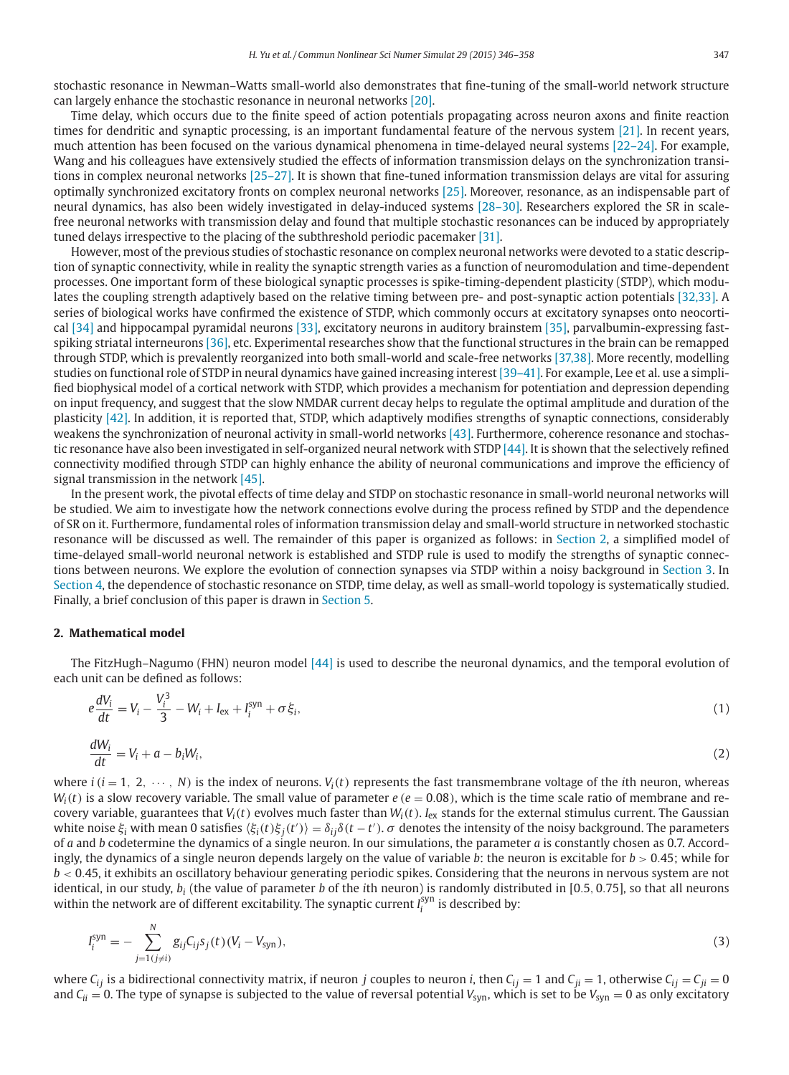stochastic resonance in Newman–Watts small-world also demonstrates that fine-tuning of the small-world network structure can largely enhance the stochastic resonance in neuronal networks [\[20\].](#page--1-0)

Time delay, which occurs due to the finite speed of action potentials propagating across neuron axons and finite reaction times for dendritic and synaptic processing, is an important fundamental feature of the nervous system [\[21\].](#page--1-0) In recent years, much attention has been focused on the various dynamical phenomena in time-delayed neural systems [\[22–24\].](#page--1-0) For example, Wang and his colleagues have extensively studied the effects of information transmission delays on the synchronization transitions in complex neuronal networks [\[25–27\].](#page--1-0) It is shown that fine-tuned information transmission delays are vital for assuring optimally synchronized excitatory fronts on complex neuronal networks [\[25\].](#page--1-0) Moreover, resonance, as an indispensable part of neural dynamics, has also been widely investigated in delay-induced systems [\[28–30\].](#page--1-0) Researchers explored the SR in scalefree neuronal networks with transmission delay and found that multiple stochastic resonances can be induced by appropriately tuned delays irrespective to the placing of the subthreshold periodic pacemaker [\[31\].](#page--1-0)

However, most of the previous studies of stochastic resonance on complex neuronal networks were devoted to a static description of synaptic connectivity, while in reality the synaptic strength varies as a function of neuromodulation and time-dependent processes. One important form of these biological synaptic processes is spike-timing-dependent plasticity (STDP), which modulates the coupling strength adaptively based on the relative timing between pre- and post-synaptic action potentials [\[32,33\].](#page--1-0) A series of biological works have confirmed the existence of STDP, which commonly occurs at excitatory synapses onto neocortical [\[34\]](#page--1-0) and hippocampal pyramidal neurons [\[33\],](#page--1-0) excitatory neurons in auditory brainstem [\[35\],](#page--1-0) parvalbumin-expressing fastspiking striatal interneurons [\[36\],](#page--1-0) etc. Experimental researches show that the functional structures in the brain can be remapped through STDP, which is prevalently reorganized into both small-world and scale-free networks [\[37,38\].](#page--1-0) More recently, modelling studies on functional role of STDP in neural dynamics have gained increasing interest [\[39–41\].](#page--1-0) For example, Lee et al. use a simplified biophysical model of a cortical network with STDP, which provides a mechanism for potentiation and depression depending on input frequency, and suggest that the slow NMDAR current decay helps to regulate the optimal amplitude and duration of the plasticity [\[42\].](#page--1-0) In addition, it is reported that, STDP, which adaptively modifies strengths of synaptic connections, considerably weakens the synchronization of neuronal activity in small-world networks [\[43\].](#page--1-0) Furthermore, coherence resonance and stochastic resonance have also been investigated in self-organized neural network with STDP [\[44\].](#page--1-0) It is shown that the selectively refined connectivity modified through STDP can highly enhance the ability of neuronal communications and improve the efficiency of signal transmission in the network [\[45\].](#page--1-0)

In the present work, the pivotal effects of time delay and STDP on stochastic resonance in small-world neuronal networks will be studied. We aim to investigate how the network connections evolve during the process refined by STDP and the dependence of SR on it. Furthermore, fundamental roles of information transmission delay and small-world structure in networked stochastic resonance will be discussed as well. The remainder of this paper is organized as follows: in Section 2, a simplified model of time-delayed small-world neuronal network is established and STDP rule is used to modify the strengths of synaptic connections between neurons. We explore the evolution of connection synapses via STDP within a noisy background in [Section 3.](#page--1-0) In [Section 4,](#page--1-0) the dependence of stochastic resonance on STDP, time delay, as well as small-world topology is systematically studied. Finally, a brief conclusion of this paper is drawn in [Section 5.](#page--1-0)

#### **2. Mathematical model**

The FitzHugh–Nagumo (FHN) neuron model [\[44\]](#page--1-0) is used to describe the neuronal dynamics, and the temporal evolution of each unit can be defined as follows:

$$
e\frac{dV_i}{dt} = V_i - \frac{V_i^3}{3} - W_i + I_{\text{ex}} + I_i^{\text{syn}} + \sigma \xi_i,
$$
\n(1)

$$
\frac{dW_i}{dt} = V_i + a - b_i W_i,\tag{2}
$$

where  $i$  ( $i = 1, 2, \dots, N$ ) is the index of neurons.  $V_i(t)$  represents the fast transmembrane voltage of the *i*th neuron, whereas  $W_i(t)$  is a slow recovery variable. The small value of parameter  $e$  ( $e = 0.08$ ), which is the time scale ratio of membrane and recovery variable, guarantees that  $V_i(t)$  evolves much faster than  $W_i(t)$ .  $I_{ex}$  stands for the external stimulus current. The Gaussian white noise  $\xi_i$  with mean 0 satisfies  $\langle \xi_i(t) \xi_j(t') \rangle = \delta_{ij} \delta(t-t')$ .  $\sigma$  denotes the intensity of the noisy background. The parameters of *a* and *b* codetermine the dynamics of a single neuron. In our simulations, the parameter *a* is constantly chosen as 0.7. Accordingly, the dynamics of a single neuron depends largely on the value of variable *b*: the neuron is excitable for *b* > 0.45; while for *b* < 0.45, it exhibits an oscillatory behaviour generating periodic spikes. Considering that the neurons in nervous system are not identical, in our study, *bi* (the value of parameter *b* of the *i*th neuron) is randomly distributed in [0.5, 0.75], so that all neurons within the network are of different excitability. The synaptic current  $I_i^{\text{syn}}$  is described by:

$$
I_i^{\text{syn}} = -\sum_{j=1 (j \neq i)}^N g_{ij} C_{ij} s_j(t) (V_i - V_{\text{syn}}), \tag{3}
$$

where  $C_{ij}$  is a bidirectional connectivity matrix, if neuron *j* couples to neuron *i*, then  $C_{ij} = 1$  and  $C_{ji} = 1$ , otherwise  $C_{ij} = C_{ji} = 0$ and  $C_{ii} = 0$ . The type of synapse is subjected to the value of reversal potential  $V_{syn}$ , which is set to be  $V_{syn} = 0$  as only excitatory